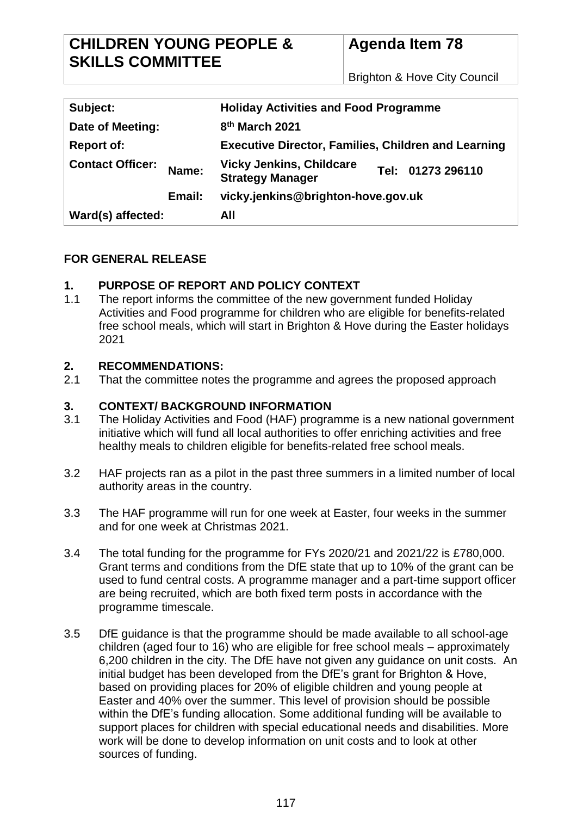## **CHILDREN YOUNG PEOPLE & SKILLS COMMITTEE**

# **Agenda Item 78**

Brighton & Hove City Council

| Subject:                |        | <b>Holiday Activities and Food Programme</b>               |                   |
|-------------------------|--------|------------------------------------------------------------|-------------------|
| Date of Meeting:        |        | 8 <sup>th</sup> March 2021                                 |                   |
| <b>Report of:</b>       |        | <b>Executive Director, Families, Children and Learning</b> |                   |
| <b>Contact Officer:</b> | Name:  | <b>Vicky Jenkins, Childcare</b><br><b>Strategy Manager</b> | Tel: 01273 296110 |
|                         | Email: | vicky.jenkins@brighton-hove.gov.uk                         |                   |
| Ward(s) affected:       |        | All                                                        |                   |

## **FOR GENERAL RELEASE**

## **1. PURPOSE OF REPORT AND POLICY CONTEXT**

1.1 The report informs the committee of the new government funded Holiday Activities and Food programme for children who are eligible for benefits-related free school meals, which will start in Brighton & Hove during the Easter holidays 2021

#### **2. RECOMMENDATIONS:**

2.1 That the committee notes the programme and agrees the proposed approach

#### **3. CONTEXT/ BACKGROUND INFORMATION**

- 3.1 The Holiday Activities and Food (HAF) programme is a new national government initiative which will fund all local authorities to offer enriching activities and free healthy meals to children eligible for benefits-related free school meals.
- 3.2 HAF projects ran as a pilot in the past three summers in a limited number of local authority areas in the country.
- 3.3 The HAF programme will run for one week at Easter, four weeks in the summer and for one week at Christmas 2021.
- 3.4 The total funding for the programme for FYs 2020/21 and 2021/22 is £780,000. Grant terms and conditions from the DfE state that up to 10% of the grant can be used to fund central costs. A programme manager and a part-time support officer are being recruited, which are both fixed term posts in accordance with the programme timescale.
- 3.5 DfE guidance is that the programme should be made available to all school-age children (aged four to 16) who are eligible for free school meals – approximately 6,200 children in the city. The DfE have not given any guidance on unit costs. An initial budget has been developed from the DfE's grant for Brighton & Hove. based on providing places for 20% of eligible children and young people at Easter and 40% over the summer. This level of provision should be possible within the DfE's funding allocation. Some additional funding will be available to support places for children with special educational needs and disabilities. More work will be done to develop information on unit costs and to look at other sources of funding.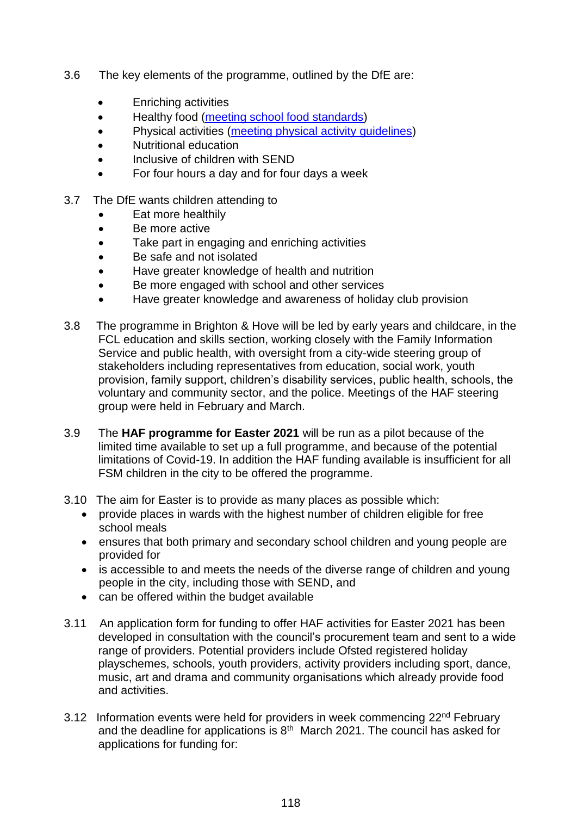- 3.6 The key elements of the programme, outlined by the DfE are:
	- Enriching activities
	- Healthy food [\(meeting school food standards\)](https://www.gov.uk/government/publications/standards-for-school-food-in-england)
	- Physical activities [\(meeting physical activity guidelines\)](https://www.gov.uk/government/collections/physical-activity-guidelines)
	- Nutritional education
	- Inclusive of children with SEND
	- For four hours a day and for four days a week
- 3.7 The DfE wants children attending to
	- Eat more healthily
	- Be more active
	- Take part in engaging and enriching activities
	- Be safe and not isolated
	- Have greater knowledge of health and nutrition
	- Be more engaged with school and other services
	- Have greater knowledge and awareness of holiday club provision
- 3.8 The programme in Brighton & Hove will be led by early years and childcare, in the FCL education and skills section, working closely with the Family Information Service and public health, with oversight from a city-wide steering group of stakeholders including representatives from education, social work, youth provision, family support, children's disability services, public health, schools, the voluntary and community sector, and the police. Meetings of the HAF steering group were held in February and March.
- 3.9 The **HAF programme for Easter 2021** will be run as a pilot because of the limited time available to set up a full programme, and because of the potential limitations of Covid-19. In addition the HAF funding available is insufficient for all FSM children in the city to be offered the programme.
- 3.10 The aim for Easter is to provide as many places as possible which:
	- provide places in wards with the highest number of children eligible for free school meals
	- ensures that both primary and secondary school children and young people are provided for
	- is accessible to and meets the needs of the diverse range of children and young people in the city, including those with SEND, and
	- can be offered within the budget available
- 3.11 An application form for funding to offer HAF activities for Easter 2021 has been developed in consultation with the council's procurement team and sent to a wide range of providers. Potential providers include Ofsted registered holiday playschemes, schools, youth providers, activity providers including sport, dance, music, art and drama and community organisations which already provide food and activities.
- 3.12 Information events were held for providers in week commencing 22<sup>nd</sup> February and the deadline for applications is  $8<sup>th</sup>$  March 2021. The council has asked for applications for funding for: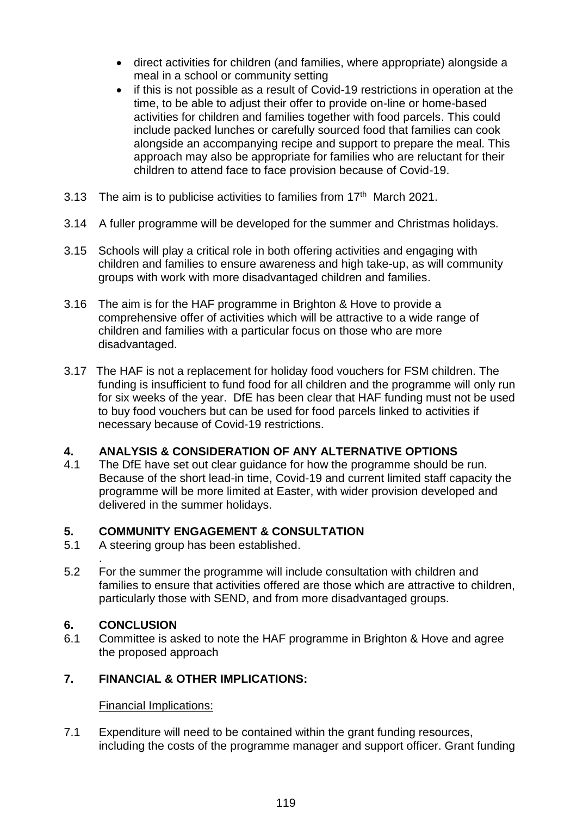- direct activities for children (and families, where appropriate) alongside a meal in a school or community setting
- if this is not possible as a result of Covid-19 restrictions in operation at the time, to be able to adjust their offer to provide on-line or home-based activities for children and families together with food parcels. This could include packed lunches or carefully sourced food that families can cook alongside an accompanying recipe and support to prepare the meal. This approach may also be appropriate for families who are reluctant for their children to attend face to face provision because of Covid-19.
- 3.13 The aim is to publicise activities to families from 17<sup>th</sup> March 2021.
- 3.14 A fuller programme will be developed for the summer and Christmas holidays.
- 3.15 Schools will play a critical role in both offering activities and engaging with children and families to ensure awareness and high take-up, as will community groups with work with more disadvantaged children and families.
- 3.16 The aim is for the HAF programme in Brighton & Hove to provide a comprehensive offer of activities which will be attractive to a wide range of children and families with a particular focus on those who are more disadvantaged.
- 3.17 The HAF is not a replacement for holiday food vouchers for FSM children. The funding is insufficient to fund food for all children and the programme will only run for six weeks of the year. DfE has been clear that HAF funding must not be used to buy food vouchers but can be used for food parcels linked to activities if necessary because of Covid-19 restrictions.

## **4. ANALYSIS & CONSIDERATION OF ANY ALTERNATIVE OPTIONS**

4.1 The DfE have set out clear guidance for how the programme should be run. Because of the short lead-in time, Covid-19 and current limited staff capacity the programme will be more limited at Easter, with wider provision developed and delivered in the summer holidays.

#### **5. COMMUNITY ENGAGEMENT & CONSULTATION**

- 5.1 A steering group has been established.
- . 5.2 For the summer the programme will include consultation with children and families to ensure that activities offered are those which are attractive to children, particularly those with SEND, and from more disadvantaged groups.

#### **6. CONCLUSION**

6.1 Committee is asked to note the HAF programme in Brighton & Hove and agree the proposed approach

#### **7. FINANCIAL & OTHER IMPLICATIONS:**

#### Financial Implications:

7.1 Expenditure will need to be contained within the grant funding resources, including the costs of the programme manager and support officer. Grant funding